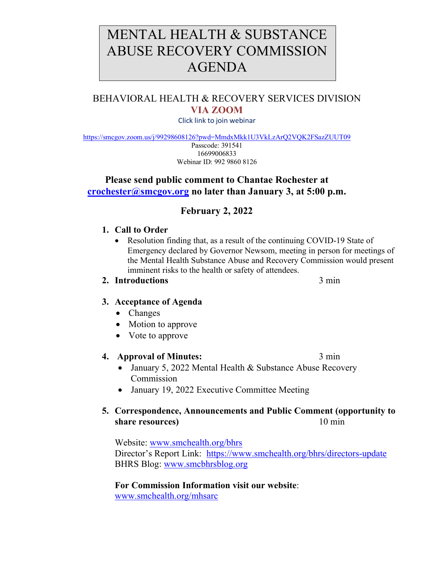# MENTAL HEALTH & SUBSTANCE ABUSE RECOVERY COMMISSION AGENDA

# BEHAVIORAL HEALTH & RECOVERY SERVICES DIVISION **VIA ZOOM**

Click link to join webinar

<https://smcgov.zoom.us/j/99298608126?pwd=MmdxMkk1U3VkLzArQ2VQK2FSazZUUT09>

Passcode: 391541 16699006833 Webinar ID: 992 9860 8126

## **Please send public comment to Chantae Rochester at [crochester@smcgov.org](mailto:crochester@smcgov.org) no later than January 3, at 5:00 p.m.**

## **February 2, 2022**

#### **1. Call to Order**

• Resolution finding that, as a result of the continuing COVID-19 State of Emergency declared by Governor Newsom, meeting in person for meetings of the Mental Health Substance Abuse and Recovery Commission would present imminent risks to the health or safety of attendees.

#### **2. Introductions** 3 min

## **3. Acceptance of Agenda**

- Changes
- Motion to approve
- Vote to approve

#### **4. Approval of Minutes:** 3 min

- January 5, 2022 Mental Health & Substance Abuse Recovery Commission
- January 19, 2022 Executive Committee Meeting

## **5. Correspondence, Announcements and Public Comment (opportunity to share resources**) 10 min

Website: [www.smchealth.org/bhrs](http://www.smchealth.org/bhrs) Director's Report Link: <https://www.smchealth.org/bhrs/directors-update> BHRS Blog: [www.smcbhrsblog.org](http://www.smcbhrsblog.org/)

**For Commission Information visit our website**: [www.smchealth.org/mhsarc](http://www.smchealth.org/mhsarc)